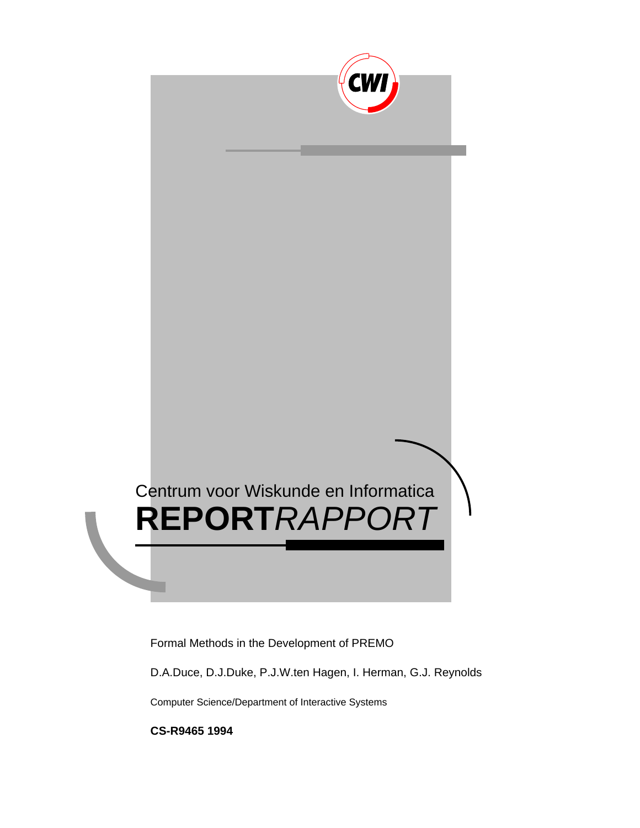

D.A.Duce, D.J.Duke, P.J.W.ten Hagen, I. Herman, G.J. Reynolds

Computer Science/Department of Interactive Systems

**CS-R9465 1994**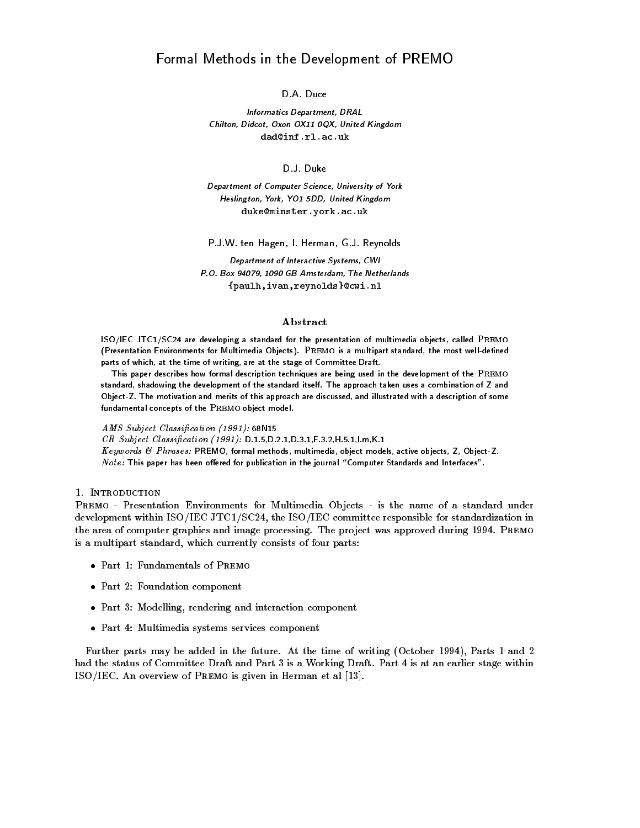Informatics Department- DRAL Chilton- Didcot- Oxon OX QX- United Kingdom

separament of computer science, said it, and it was Heslington- York- YO DD- United Kingdom duke-minsteryorkacuk

P-J-W- ten Hagen I- Herman G-J- Reynolds

seperators of articles of Interactive Systems and the Systems PO Box - GB Amsterdam- The Netherlands parameter in the second complete and complete the complete order of the complete second control of the complete order of the complete second control of the complete second control of the complete second control of the comp

# Abstract

 $13$ O $/$  IEC JTC1 $/3$ C24 are developing a standard for the presentation of multimedia objects, called I REMO  $\,$ t Presentation Environments for Multimedia Objects) . I REMO is a multipart standard, the most well-denned parts of which, at the time of writing, are at the stage of Committee Draft.

This paper describes how formal description techniques are being used in the development of the Premo standard, shadowing the development of the standard itself. The approach taken uses a combination of Z and Object Z The motivation and merits of this approach are discussed and illustrated with a description of somefundamental concepts of the Premo object model 

AMS Subject Classi-cation 
N

cat catjour classification | 2002/ D 2019 = 2019 - 021 - 021 - 021 - 021 - 021 - 021 - 021 - 021 - 021 - 0

 $\Lambda$ eywords  $\Theta$  Phrases: PREMO, formal methods, multimedia, object models, active objects, Z, Object Z .  $Note:$  This paper has been offered for publication in the journal "Computer Standards and Interfaces".

# 1. INTRODUCTION

PREMO - Presentation Environments for Multimedia Objects - is the name of a standard under addevelopment with ISO-15 and ISO-15 and ISO-15 and ISO-15 and ISO-15 and ISO-15 and ISO-15 and ISO-15 and ISOthe area of computer graphics and image processing. The project was approved during 1994. PREMO is a multipart standard, which currently consists of four parts:

- $\bullet$  -Part 1: Fundamentals of Premo  $\hspace{0.1em}$
- $\bullet$  -Fart  $\scriptstyle\rm Z$ : Foundation component
- $\bullet$  -rart 3: Modelling, rendering and interaction component  $\hspace{0.1mm}$
- $\bullet\,$  Part 4: Multimedia systems services component  $\,$

Further parts may be added in the future. At the time of writing (October 1994), Parts 1 and 2 had the status of Committee Draft and Part is a Working Draft Part is at an earlier stage within ISO-IEC An overview of Premo is given in Herman et al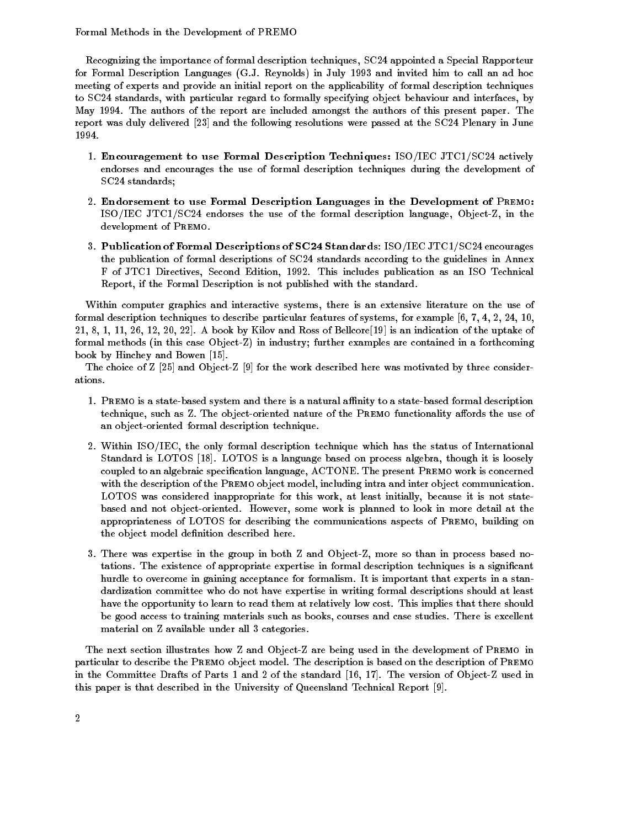Recognizing the importance of formal description techniques, SC24 appointed a Special Rapporteur for Formal Description Languages GJ Reynolds in July and invited him to call an ad hoc meeting of experts and provide an initial report on the applicability of formal description techniques to SC24 standards, with particular regard to formally specifying object behaviour and interfaces, by May 1994. The authors of the report are included amongst the authors of this present paper. The report was duly delivered and the following resolutions were passed at the SC Plenary in June 1994.

- encouragement to use Formal Description Techniques-Art John Techniques-Art (1999) endorses and encourages the use of formal description techniques during the development of  $SC24$  standards;
- Endorsement to use Formal Description Languages in the Development of Premo-ISO-IEC JTC-SC endorses the use of the formal description language ObjectZ in the development of PREMO.
- Publication of Formal Descriptions of SC Standards ISO-IEC JTC-SC encourages the publication of formal descriptions of SC24 standards according to the guidelines in Annex F of JTC1 Directives, Second Edition, 1992. This includes publication as an ISO Technical Report, if the Formal Description is not published with the standard.

Within computer graphics and interactive systems, there is an extensive literature on the use of formal description techniques to describe particular features of systems, for example  $[6, 7, 4, 2, 24, 10,$  $21, 8, 1, 11, 26, 12, 20, 22$ . A book by Kilov and Ross of Bellcore [19] is an indication of the uptake of formal methods (in this case Object-Z) in industry; further examples are contained in a forthcoming book by Hinchey and Bowen [15].

The choice of Z [25] and Object-Z [9] for the work described here was motivated by three considerations

- 1. PREMO is a state-based system and there is a natural affinity to a state-based formal description technique, such as Z. The object-oriented nature of the PREMO functionality affords the use of an object-oriented formal description technique.
- $\blacksquare$ Standard is LOTOS [18]. LOTOS is a language based on process algebra, though it is loosely coupled to an algebraic specification language, ACTONE. The present PREMO work is concerned with the description of the PREMO object model, including intra and inter object communication. LOTOS was considered inappropriate for this work at least initially because it is not state based and not object-oriented. However, some work is planned to look in more detail at the appropriateness of LOTOS for describing the communications aspects of PREMO, building on the object model definition described here.
- There was expertise in the group in both Z and ObjectZ more so than in process based no tations The existence of appropriate expertise in formal description techniques is a signicant hurdle to overcome in gaining acceptance for formalism. It is important that experts in a standardization committee who do not have expertise in writing formal descriptions should at least have the opportunity to learn to read them at relatively low cost. This implies that there should be good access to training materials such as books, courses and case studies. There is excellent material on Z available under all  $\alpha$  available under all  $\alpha$

The next section illustrates how Z and Object-Z are being used in the development of PREMO in particular to describe the Premo object model The description is based on the description of Premo in the Committee Drafts of Parts 1 and 2 of the standard [16, 17]. The version of Object-Z used in this paper is that described in the University of Queensland Technical Report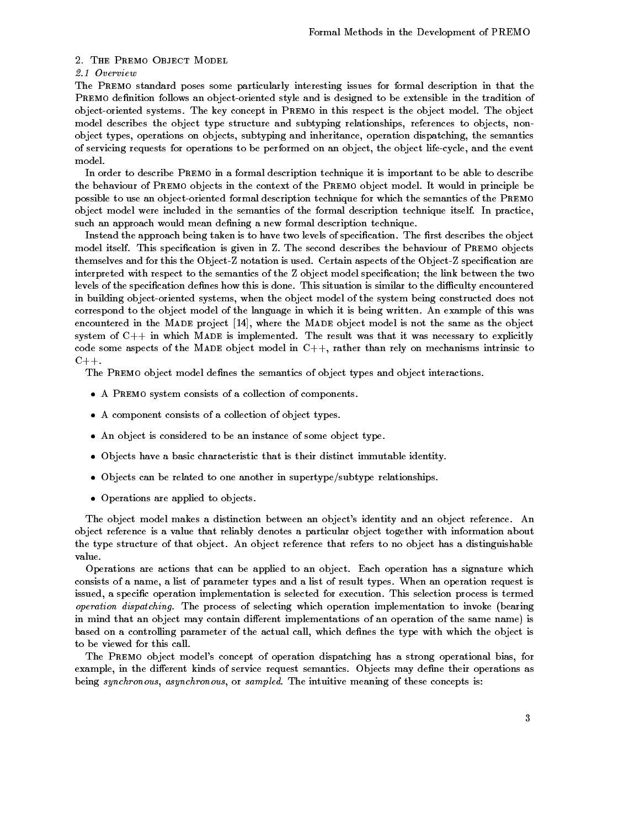### 2. THE PREMO OBJECT MODEL

# 2.1 Overview

The PREMO standard poses some particularly interesting issues for formal description in that the PREMO definition follows an object-oriented style and is designed to be extensible in the tradition of object-oriented systems. The key concept in PREMO in this respect is the object model. The object model describes the object type structure and subtyping relationships, references to objects, nonobject types, operations on objects, subtyping and inheritance, operation dispatching, the semantics of servicing requests for operations to be performed on an object the object lifecycle and the event model

In order to describe Premo in a formal description technique it is important to be able to describe the behaviour of Premo objects in the context of the Premo object model It would in principle be possible to use an object-oriented formal description technique for which the semantics of the PREMO object model were included in the semantics of the formal description technique itself. In practice, such an approach would mean defining a new formal description technique.

Instead the approach being taken is to have two levels of specification. The first describes the object model itself. This specification is given in Z. The second describes the behaviour of PREMO objects themselves and for this the Object-Z notation is used. Certain aspects of the Object-Z specification are interpreted with respect to the semantics of the Z object model specification; the link between the two levels of the specification defines how this is done. This situation is similar to the difficulty encountered in building object-oriented systems, when the object model of the system being constructed does not correspond to the object model of the language in which it is being written An example of this was encountered in the MADE project [14], where the MADE object model is not the same as the object system of  $C_{++}$  in which MADE is implemented. The result was that it was necessary to explicitly code some aspects of the MADE object model in  $C_{++}$ , rather than rely on mechanisms intrinsic to  $C_{++}$ .

The PREMO object model defines the semantics of object types and object interactions.

- $\bullet$  A Premo system consists of a collection of components.
- $\bullet$  A component consists of a collection of object types.
- An object is considered to be an instance of some object type
- $\bullet$  Objects have a basic characteristic that is their distinct immutable identity.
- $\bullet$  Upjects can be related to one another in supertype/subtype-relationships.
- $\bullet$  <code>Uperations</code> are applied to objects.  $\phantom{1}$

The object model makes a distinction between an object's identity and an object reference. An object reference is a value that reliably denotes a particular object together with information about the type structure of that object An object reference that refers to no object has a distinguishable value

Operations are actions that can be applied to an object Each operation has a signature which consists of a name, a list of parameter types and a list of result types. When an operation request is issued, a specific operation implementation is selected for execution. This selection process is termed operation dispatching. The process of selecting which operation implementation to invoke (bearing in mind that an object may contain different implementations of an operation of the same name) is based on a controlling parameter of the actual call, which defines the type with which the object is to be viewed for this call

The PREMO object model's concept of operation dispatching has a strong operational bias, for example, in the different kinds of service request semantics. Objects may define their operations as being synchronous, asynchronous, or sampled. The intuitive meaning of these concepts is: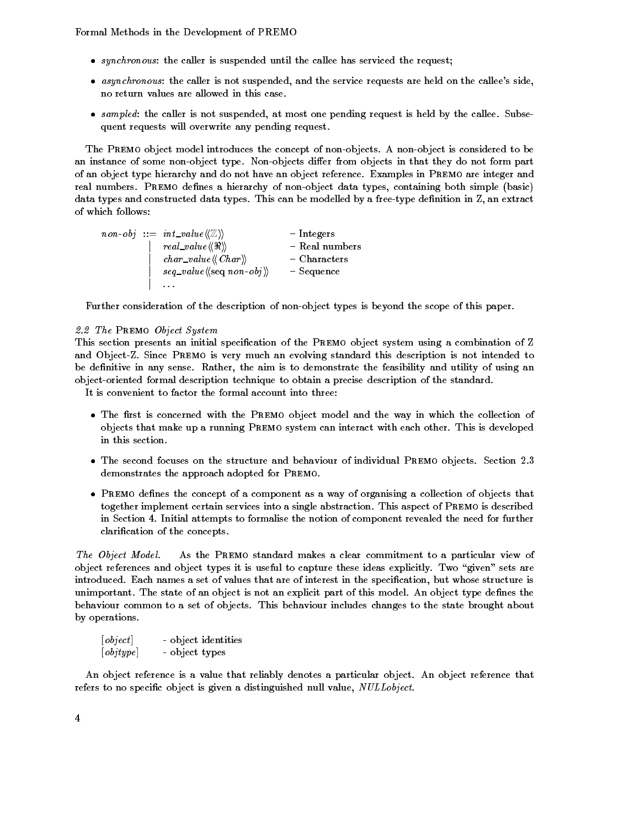- $\bullet$  synchronous: the caller is suspended until the callee has serviced the request;
- $\bullet$  asynchronous: the caller is not suspended, and the service requests are held on the callee's side, no return values are allowed in this case
- $\bullet$  sampled: the caller is not suspended, at most one pending request is held by the callee. Subsequent requests will overwrite any pending request

The PREMO object model introduces the concept of non-objects. A non-object is considered to be an instance of some non-object type. Non-objects differ from objects in that they do not form part of an object type hierarchy and do not have an object reference Examples in Premo are integer and real numbers. PREMO defines a hierarchy of non-object data types, containing both simple (basic) data types and constructed data types. This can be modelled by a free-type definition in Z, an extract of which follows 

 $\textit{non-obj} \ ::=\ \textit{int\_value} \langle\!\langle\mathbb{Z}\rangle\!\rangle \qquad \qquad -\ \text{Integers}$  $\vert \quad real\_value \langle \langle \Re \rangle \rangle \qquad \qquad - \ {\rm Real \,\, numbers}$  $\vert \quad char\_value \langle \! \langle Char \rangle \! \rangle \qquad \qquad - \text{Characters}$  $\vert$  seq\_value  $\langle\!\langle \text{seq non-obj} \rangle\!\rangle$  - Sequence . . . . .

Further consideration of the description of non-object types is beyond the scope of this paper.

# - The Premo Object System

This section presents an initial specification of the PREMO object system using a combination of Z and Object-Z. Since PREMO is very much an evolving standard this description is not intended to be definitive in any sense. Rather, the aim is to demonstrate the feasibility and utility of using an object-oriented formal description technique to obtain a precise description of the standard.

It is convenient to factor the formal account into three:

- $\bullet$  The first is concerned with the PREMO object model and the way in which the collection of  $\bullet$ objects that make up a running PREMO system can interact with each other. This is developed in this section
- $\bullet$  The second focuses on the structure and behaviour of individual Premo objects. Section 2.3 demonstrates the approach adopted for PREMO.
- $\bullet$  -Premo dennes the concept of a component as a way of organising a collection of objects that  $\bullet$ together implement certain services into a single abstraction This aspect of Premo is described in Section Initial attempts to formalise the notion of component revealed the need for further clarification of the concepts.

The Object Model. As the Premo standard makes a clear commitment to a particular view of object references and object types it is useful to capture these ideas explicitly. Two "given" sets are introduced. Each names a set of values that are of interest in the specification, but whose structure is unimportant. The state of an object is not an explicit part of this model. An object type defines the behaviour common to a set of objects This behaviour includes changes to the state brought about by operations

| [object]  | - object identities |
|-----------|---------------------|
| [objtype] | - object types      |

An object reference is a value that reliably denotes a particular object An object reference that refers to no specific object is given a distinguished null value,  $NULLobject$ .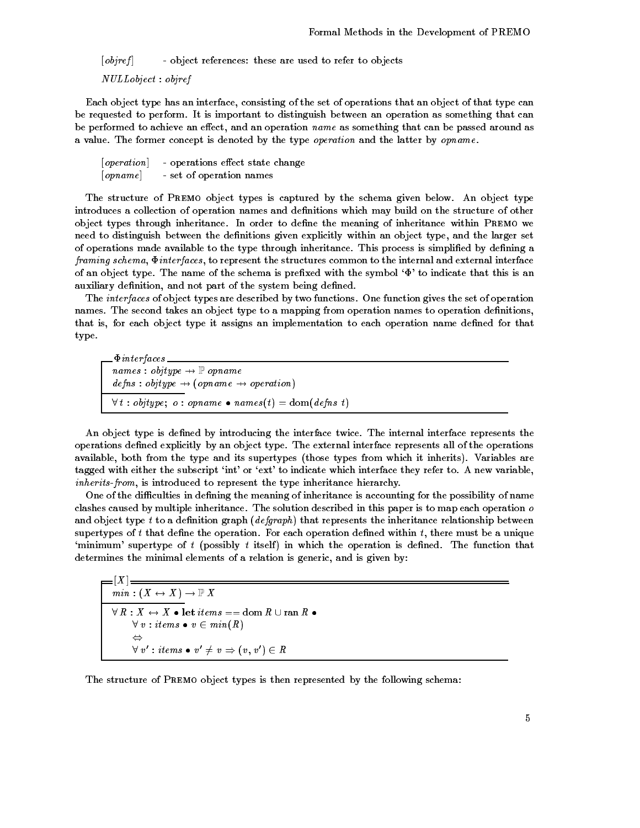$[obiref]$  - object references: these are used to refer to objects

 $NULLobject:obiref$ 

Each object type has an interface consisting of the set of operations that an object of that type can be requested to perform It is important to distinguish between an operation as something that can be performed to achieve an effect, and an operation name as something that can be passed around as a value. The former concept is denoted by the type *operation* and the latter by *opname*.

 $[operation]$  - operations effect state change  $[opname]$  - set of operation names

The structure of Premo object types is captured by the schema given below An object type introduces a collection of operation names and definitions which may build on the structure of other object types through inheritance In order to dene the meaning of inheritance within Premo we need to distinguish between the definitions given explicitly within an object type, and the larger set of operations made available to the type through inheritance. This process is simplified by defining a  $f$ raming schema,  $\Phi$ interfaces, to represent the structures common to the internal and external interface of an object type. The name of the schema is prefixed with the symbol  $\Phi$  to indicate that this is an auxiliary definition, and not part of the system being defined.

The interfaces of object types are described by two functions One function gives the set of operation names. The second takes an object type to a mapping from operation names to operation definitions, that is, for each object type it assigns an implementation to each operation name defined for that type

 $\emph{names : objtype} \rightarrow \mathbb{P}~opname$  $defines: objtype \rightarrow (opname \rightarrow operation)$  $\forall t : \text{objtype}; \ o : \text{opname } \bullet \text{ names}(t) = \text{dom}(\text{defines } t)$ 

An object type is defined by introducing the interface twice. The internal interface represents the operations defined explicitly by an object type. The external interface represents all of the operations available, both from the type and its supertypes (those types from which it inherits). Variables are tagged with either the subscript 'int' or 'ext' to indicate which interface they refer to. A new variable, inherits-from, is introduced to represent the type inheritance hierarchy.

One of the difficulties in defining the meaning of inheritance is accounting for the possibility of name clashes caused by multiple inheritance. The solution described in this paper is to map each operation  $\rho$ and object type t to a definition graph ( $\deg graph$ ) that represents the inheritance relationship between supertypes of t that define the operation. For each operation defined within t, there must be a unique 'minimum' supertype of  $t$  (possibly  $t$  itself) in which the operation is defined. The function that determines the minimal elements of a relation is generic, and is given by:

 $=$   $\left[ X \right]$   $=$  $min: (X \leftrightarrow X) \rightarrow \mathbb{P} X$  $\forall R: X \leftrightarrow X \bullet \textbf{let items} == \textbf{dom}\, R \cup \textbf{ran}\, R \bullet$  $\forall v : items \bullet v \in min(R)$  $\Leftrightarrow$  and a set of  $\Rightarrow$  $\forall\; v^\prime : \mathit{items} \; \bullet \; v^\prime \neq \mathit{v} \Rightarrow (\mathit{v}, \mathit{v}^\prime) \in R$ 

The structure of PREMO object types is then represented by the following schema: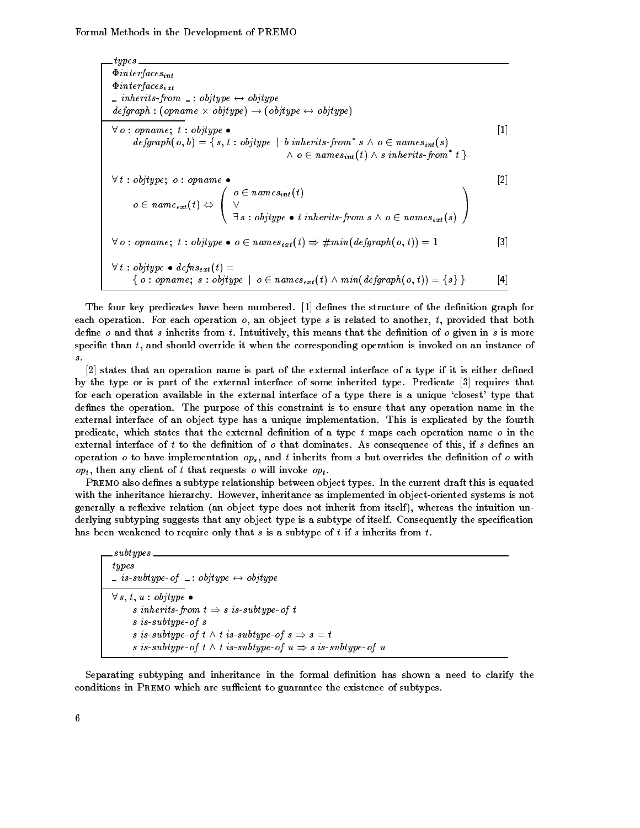types  $\Phi$ interfaces<sub>int</sub>  $\Phi$ *interfaces*<sub>ext</sub>  $\therefore$  inherits-from  $\therefore$  objtype  $\leftrightarrow$  objtype  $\deg graph : (opname \times objtype) \rightarrow (objtype \leftrightarrow objtype)$  $\forall$  o : opname; t : objtype  $\bullet$  [1]  $\mathit{defgraph}(o, b) = \{\, s, t : \mathit{objtype} \,\mid\, b \textit{ inherits-from* s} \,\land\, o \in \mathit{names}_{int}(s)$  $\wedge$  0  $\in$  names $_{int}(t)$   $\wedge$  s inherits-from\* t  $\}$  $\forall t : objtype; o : opname \bullet$  [2]  $o \in name_{ext}(t) \Leftrightarrow \ \ \ \ \vee$  $\bigwedge o \in n$  $o \in names_{int}(t)$ V i  $\exists s : \textit{objtype} \bullet \textit{t inherits}\textit{-from} \textit{s} \wedge \textit{o} \in \textit{names}_{\textit{ext}}(s)$  /  $\Delta$  and  $\Delta$ **A** Service  $\forall$  o : opname; t : objtype  $\bullet$  o  $\in$  names<sub>ext</sub>  $(t) \Rightarrow \# min(\text{defgraph}(o, t)) = 1$  [3]  $\forall t : objtype \bullet defns_{ext}(t) =$  $\set{o:opname; s:objtype ~|~ o \in names_{ext}(t) \wedge min(degraph(o, t)) = \set{s} }$  [4]

The four key predicates have been numbered.  $\lceil 1 \rceil$  defines the structure of the definition graph for each operation. For each operation  $o$ , an object type s is related to another, t, provided that both define  $o$  and that s inherits from t. Intuitively, this means that the definition of  $o$  given in s is more specific than  $t$ , and should override it when the corresponding operation is invoked on an instance of  $\boldsymbol{s}$  .

 $\lceil 2 \rceil$  states that an operation name is part of the external interface of a type if it is either defined by the type or is part of the external interface of some inherited type Predicate requires that for each operation available in the external interface of a type there is a unique 'closest' type that defines the operation. The purpose of this constraint is to ensure that any operation name in the external interface of an object type has a unique implementation This is explicated by the fourth predicate, which states that the external definition of a type  $t$  maps each operation name  $o$  in the external interface of t to the definition of  $o$  that dominates. As consequence of this, if  $s$  defines an operation o to have implementation  $\mathfrak{op}_s$ , and t inherits from s but overrides the definition of o with  $op_t$ , then any client of t that requests o will invoke  $op_t$ .

PREMO also defines a subtype relationship between object types. In the current draft this is equated with the inheritance hierarchy. However, inheritance as implemented in object-oriented systems is not generally a reflexive relation (an object type does not inherit from itself), whereas the intuition underlying subtyping suggests that any object type is a subtype of itself. Consequently the specification has been weakened to require only that s is a subtype of t if s inherits from t.

subtypes  $\begin{array}{l} \begin{array}{l} \text{if} \end{array} \text{is-subtype-of} \end{array}$  is subtype-of  $\end{array}$  is objtype  $\forall s,t,u:obitype$   $\bullet$ s inherits-from  $t \Rightarrow s$  is-subtype-of t  $s$  is  $-subtype-of$  s s is-subtype-of  $t \wedge t$  is-subtype-of  $s \Rightarrow s = t$ s is-subtype-of  $t \wedge t$  is-subtype-of  $u \Rightarrow s$  is-subtype-of u

Separating subtyping and inheritance in the formal definition has shown a need to clarify the conditions in PREMO which are sufficient to guarantee the existence of subtypes.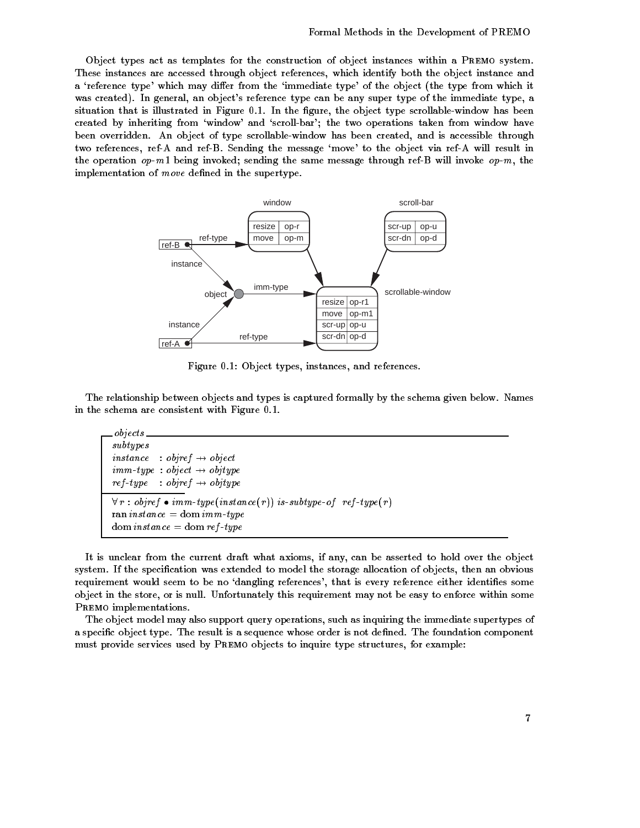Object types act as templates for the construction of object instances within a PREMO system. These instances are accessed through object references which identify both the object instance and a 'reference type' which may differ from the 'immediate type' of the object (the type from which it was created). In general, an object's reference type can be any super type of the immediate type, a situation that is illustrated in Figure 0.1. In the figure, the object type scrollable-window has been created by inheriting from 'window' and 'scroll-bar'; the two operations taken from window have been overridden. An object of type scrollable-window has been created, and is accessible through two references, ref-A and ref-B. Sending the message 'move' to the object via ref-A will result in the operation  $op-m1$  being invoked; sending the same message through ref-B will invoke  $op-m$ , the implementation of  $move$  defined in the supertype.



Figure 0.1: Object types, instances, and references.

The relationship between objects and types is captured formally by the schema given below. Names in the schema are consistent with Figure 0.1.

| $\_\$ {objects}                                                                                                                                                                                                                                                                                                                                                                                                                                           |
|-----------------------------------------------------------------------------------------------------------------------------------------------------------------------------------------------------------------------------------------------------------------------------------------------------------------------------------------------------------------------------------------------------------------------------------------------------------|
| subtypes                                                                                                                                                                                                                                                                                                                                                                                                                                                  |
| <i>instance</i> : <i>objref</i> $\rightarrow$ <i>object</i>                                                                                                                                                                                                                                                                                                                                                                                               |
| $\lim_{m \to \infty} \lim_{t \to \infty} r = \lim_{m \to \infty} r = \lim_{m \to \infty} r = \lim_{m \to \infty} r = \lim_{m \to \infty} r = \lim_{m \to \infty} r = \lim_{m \to \infty} r = \lim_{m \to \infty} r = \lim_{m \to \infty} r = \lim_{m \to \infty} r = \lim_{m \to \infty} r = \lim_{m \to \infty} r = \lim_{m \to \infty} r = \lim_{m \to \infty} r = \lim_{m \to \infty} r = \lim_{m \to \infty} r = \lim_{m \to \infty} r = \lim_{m \to$ |
| $ref-type : object \rightarrow objtype$                                                                                                                                                                                                                                                                                                                                                                                                                   |
| $\forall r : object \bullet imm-type(instance(r))$ is-subtype-of ref-type(r)<br>ran <i>instance</i> = dom <i>imm-type</i><br>$dom\; instance = dom\; ref\text{-}type$                                                                                                                                                                                                                                                                                     |

It is unclear from the current draft what axioms if any can be asserted to hold over the object system. If the specification was extended to model the storage allocation of objects, then an obvious requirement would seem to be no 'dangling references', that is every reference either identifies some object in the store, or is null. Unfortunately this requirement may not be easy to enforce within some PREMO implementations.

The object model may also support query operations, such as inquiring the immediate supertypes of a specific object type. The result is a sequence whose order is not defined. The foundation component must provide services used by PREMO objects to inquire type structures, for example: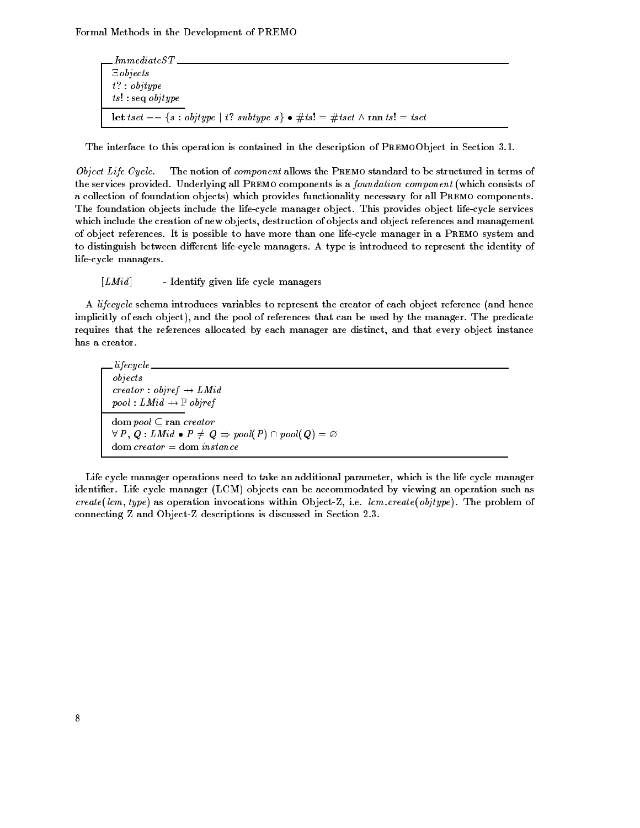ImmediateST  $E$ objects  $t$ ? : objtype  $ts! : seq \text{ objtype}$ let tset  $== \{s : objtype \mid t$ ? subtype  $s\} \bullet \# ts! = \# tset \wedge \text{ran } ts! = tset$ 

The interface to this operation is contained in the description is contained in  $\mathcal{P}_\text{c}$ 

Object Life Cycle- The notion of component allows the Premo standard to be structured in terms of the services provided. Underlying all PREMO components is a foundation component (which consists of a collection of foundation objects) which provides functionality necessary for all PREMO components. The foundation objects include the life-cycle manager object. This provides object life-cycle services which include the creation of new objects, destruction of objects and object references and management of object references It is possible to have more than one lifecycle manager in a Premo system and to distinguish between different life-cycle managers. A type is introduced to represent the identity of life-cycle managers.

 $[LMid]$  - Identify given life cycle managers

A lifecycle schema introduces variables to represent the creator of each object reference (and hence implicitly of each object), and the pool of references that can be used by the manager. The predicate requires that the references allocated by each manager are distinct and that every object instance has a creator

lifecycle objects  $\textit{creation}: \textit{object} \rightarrow \textit{LMid}$  $pool: LMid \rightarrow \mathbb{P}$  objref dom pool  $\subset$  ran creator  $\forall\ P\,,\,Q:LMid\, \bullet\ P\neq\, Q\Rightarrow\mathit{pool}(P)\cap\mathit{pool}(\,Q)=\varnothing$  $dom \, creater = dom \, instance$ 

Life cycle manager operations need to take an additional parameter, which is the life cycle manager identifier. Life cycle manager  $(LCM)$  objects can be accommodated by viewing an operation such as creately involved as operations with a social involved in the problem of the problem of the problem of the problem of the problem of the problem of the problem of the problem of the problem of the problem of the problem of connecting Z and ObjectZ descriptions is discussed in Section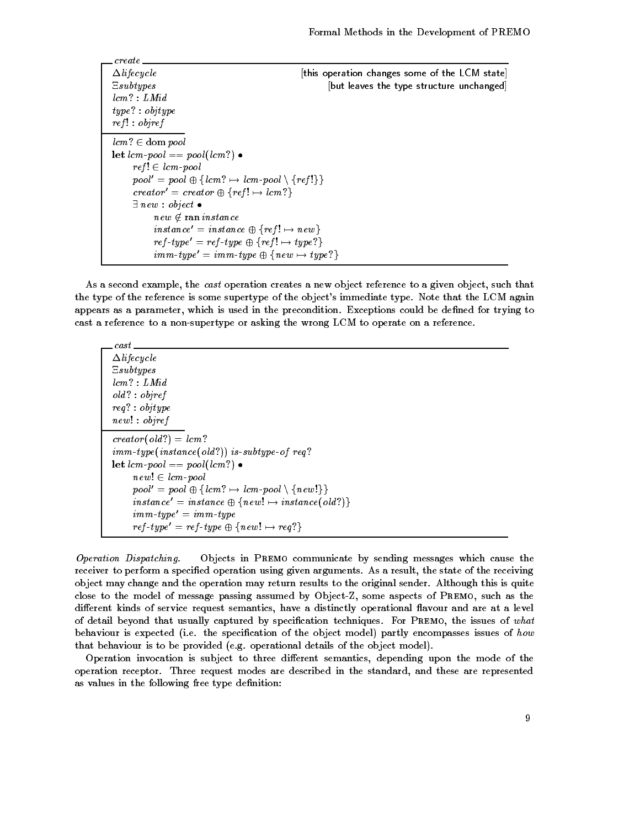create  $\Delta$ *lifecycle*  $\Delta$  this operation changes some of the LCM state Esubtypes **Example 3** [but leaves the type structure unchanged]  $lcm$  ? :  $LMid$  $type$  : objtype  $ref! : object$  $lcm? \in \text{dom pool}$ let  $lcm-pool == pool(lcm?)$   $\bullet$  $ref! \in lcm$ -pool  $pool' = pool \oplus \{ lcm? \mapsto lcm\text{-}pool \setminus \{ ref!\} \}$  $\text{c} \text{reator}' = \text{c} \text{reator} \oplus \{\text{ref} \} \mapsto \text{l} \text{cm} \}$  $\exists$  new : object  $\bullet$  $new \not \in {\tt ran\ } instance$  $\emph{instance'} = \emph{instance} \oplus \{ \emph{ref} \} \mapsto \emph{new} \}$  $\mathit{ref}\text{-}\mathit{type'} = \mathit{ref}\text{-}\mathit{type} \oplus \{\mathit{ref}\text{ }!\mapsto\mathit{type}\text{ }?\}$  $\mathit{imm\text{-}type'} = \mathit{imm\text{-}type} \oplus \{\mathit{new} \mapsto \mathit{type?}\}$ 

As a second example, the *cast* operation creates a new object reference to a given object, such that the type of the reference is some supertype of the object's immediate type. Note that the LCM again appears as a parameter, which is used in the precondition. Exceptions could be defined for trying to cast a reference to a non-supertype or asking the wrong LCM to operate on a reference.

| $\Delta$ lifecycle                                                                   |
|--------------------------------------------------------------------------------------|
| Esubtypes                                                                            |
| lcm? : LMid                                                                          |
| old? : object                                                                        |
| $req$ : objtype                                                                      |
| new! : object                                                                        |
| $\text{c} \text{re} \text{a} \text{t} \text{or} (\text{old?}) = \text{l} \text{cm?}$ |
| $\sum_{i=1}^{n}$ imm-type(instance(old?)) is-subtype-of req?                         |
| <b>let</b> $lcm$ -pool == pool( $lcm$ ?) $\bullet$                                   |
| $new! \in lcm$ -pool                                                                 |
| $pool' = pool \oplus \{ lcm? \mapsto lcm-pool \setminus \{ new!\} \}$                |
| $instance' = instance \oplus \{ new! \mapsto instance (old?)\}$                      |
| $\lim_{m \to \infty} ype' = \lim_{m \to \infty} ype$                                 |
| $ref-type' = ref-type \oplus \{new! \mapsto req? \}$                                 |

cast

Operation Dispatching- Objects in Premo communicate by sending messages which cause the receiver to perform a specified operation using given arguments. As a result, the state of the receiving object may change and the operation may return results to the original sender Although this is quite close to the model of message passing assumed by Object-Z, some aspects of PREMO, such as the different kinds of service request semantics, have a distinctly operational flavour and are at a level of detail beyond that usually captured by specification techniques. For PREMO, the issues of what behaviour is expected (i.e. the specification of the object model) partly encompasses issues of how that behaviour is to be provided (e.g. operational details of the object model).

Operation invocation is subject to three different semantics, depending upon the mode of the operation receptor. Three request modes are described in the standard, and these are represented as values in the following free type definition: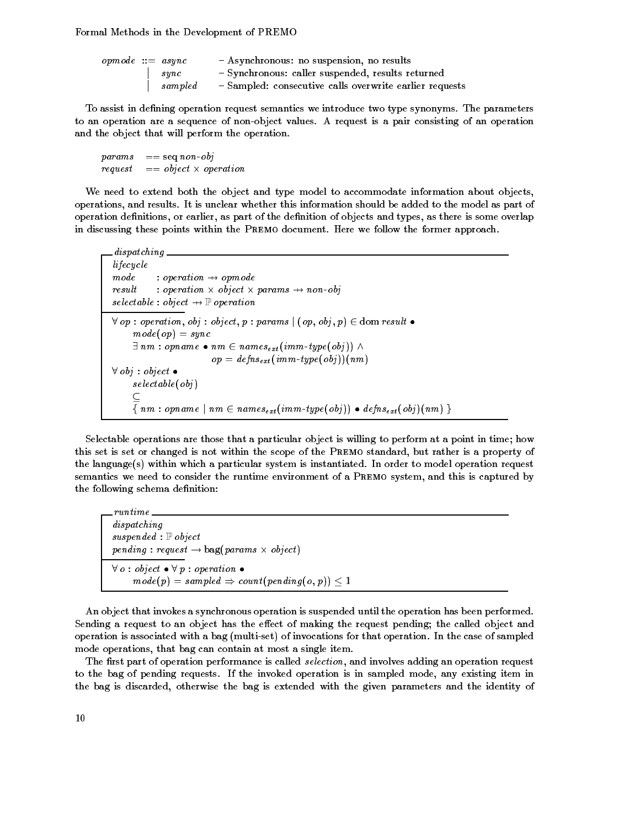| $\emph{opmode} ::= \emph{async}$ |             | - Asynchronous: no suspension, no results               |
|----------------------------------|-------------|---------------------------------------------------------|
|                                  | $s\eta n c$ | - Synchronous: caller suspended, results returned       |
|                                  | sampled     | - Sampled: consecutive calls overwrite earlier requests |

To assist in defining operation request semantics we introduce two type synonyms. The parameters to an operation are a sequence of non-object values. A request is a pair consisting of an operation and the object that will perform the operation

 $params \equiv = seq \; non \; obj$  $request \quad == object \times operation$ 

We need to extend both the object and type model to accommodate information about objects operations and results It is unclear whether this information should be added to the model as part of operation definitions, or earlier, as part of the definition of objects and types, as there is some overlap in discussing these points within the PREMO document. Here we follow the former approach.

```
dispatching
lifecycle mode : operation \rightarrow opmode
result : operation \times object \times params \rightarrow non-obj
selectable: object \rightarrow \mathbb{P} operation
\forall op : operation, obj : object, p: params \mid (\emph{op, obj, p}) \in \text{dom} \textit{result} \bulletmode(op) = sync\exists nm : opname \bullet nm \in names<sub>ext</sub> (imm-type(obj)) \wedgeop = defns_{ext}(imm-type(obj))(nm)\forall obj : object \bulletselectable(obj)\subseteq\{nm: opname \mid nm \in names_{ext}(imm-type(obj)) \bullet defns_{ext}(obj)(nm) \}
```
Selectable operations are those that a particular object is willing to perform at a point in time; how this set is set or changed is not within the scope of the PREMO standard, but rather is a property of the language(s) within which a particular system is instantiated. In order to model operation request semantics we need to consider the runtime environment of a PREMO system, and this is captured by the following schema definition:

```
runtime
dispatching
suspended : \mathbb{P} object
pending: request \rightarrow bag(params \times object)\forall o : object \bullet \forall p : operation \bullet\mathit{mode}(p) = \mathit{sampled} \Rightarrow \mathit{count}(\mathit{pending}(\mathit{o}, p)) \leq 1
```
An object that invokes a synchronous operation is suspended until the operation has been performed Sending a request to an object has the effect of making the request pending; the called object and operation is associated with a bag (multi-set) of invocations for that operation. In the case of sampled mode operations, that bag can contain at most a single item.

The first part of operation performance is called selection, and involves adding an operation request to the bag of pending requests. If the invoked operation is in sampled mode, any existing item in the bag is discarded, otherwise the bag is extended with the given parameters and the identity of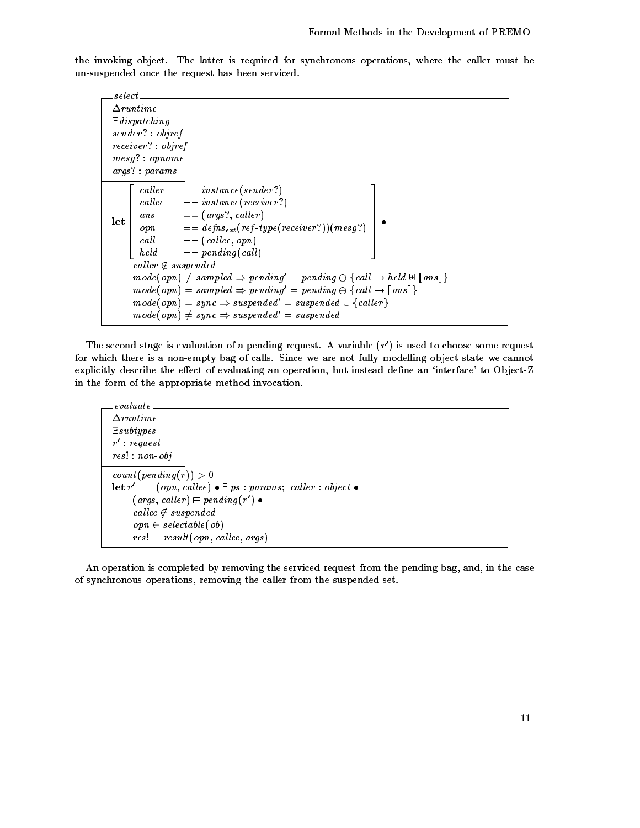the invoking object. The latter is required for synchronous operations, where the caller must be un-suspended once the request has been serviced.

select  $\Delta$ runtime  $\Xi$  dispatching  $\mathit{sender}$  :  $\mathit{object}$  $receiver$ : objref  $mesg$ ? : opname  $args$   $:~params$ let caller callee  $ans$  $\begin{array}{c} \sqrt{a}n \\ \sqrt{b}n \end{array}$  $\begin{vmatrix} v_{P1} & b_{P1} & c_{Q2} & d_{Q2} & d_{Q2} & d_{Q2} & d_{Q2} & d_{Q2} & d_{Q2} & d_{Q2} & d_{Q2} & d_{Q2} & d_{Q2} & d_{Q2} & d_{Q2} & d_{Q2} & d_{Q2} & d_{Q2} & d_{Q2} & d_{Q2} & d_{Q2} & d_{Q2} & d_{Q2} & d_{Q2} & d_{Q2} & d_{Q2} & d_{Q2} & d_{Q2} & d_{Q2} & d_{Q2} & d_{Q2} & d_{Q2} & d_{Q2} & d_{Q2} & d_{Q2} & d_{Q2$  $held$ cal letter and constances and interest in the constance of the constance of the constance of the constance of the constance of the constance of the constance of the constance of the constance of the constance of the consta cal least the contract is a contract of the contract of the contract of the contract of the contract of the co ans are called a resolution of the called and called a resolution of the called and called a resolution of the  $\mathcal{L}_1$  . The final message  $\mathcal{L}_2$  and  $\mathcal{L}_3$  . The final message  $\mathcal{L}_2$  and  $\mathcal{L}_3$  . The final message  $\mathcal{L}_3$ cal least contract the contract of the contract of the contract of the contract of the contract of the contract of the contract of the contract of the contract of the contract of the contract of the contract of the contrac  $=$   $pending (call)$   $\cdot$ O  $\emph{caller} \notin \emph{suspended}$  $\mathit{mode}(\mathit{opn}) \neq \mathit{sampled} \Rightarrow \mathit{pending'} = \mathit{pending} \oplus \{\mathit{call} \mapsto \mathit{held} \uplus \llbracket \mathit{ans} \rrbracket\}$  $mode(opn) = sampled \Rightarrow pending' = pending \oplus \{call \mapsto \llbracket ans\rrbracket\}$  $mode(opn) = sync \Rightarrow suspended' = suspended \cup \{cal}$  $\mathit{mode}(\mathit{opn}) \neq \mathit{sync} \Rightarrow \mathit{suspended'} = \mathit{suspended}$ 

The second stage is evaluation of a pending request. A variable  $(r)$  is used to choose some request for which there is a non-empty bag of calls. Since we are not fully modelling object state we cannot explicitly describe the effect of evaluating an operation, but instead define an 'interface' to Object-Z in the form of the appropriate method invocation

```
evaluate
\Deltaruntime
Esubtypes
r : request
res! : non-objcount(pending(r)) > 0\mathbf{let}\ r' == (\textit{opn}, \textit{callee}) \bullet \exists\ \textit{ps} : \textit{params};\ \textit{caller} : \textit{object} \bullet{array, \,c, a} (args, caller) \rightharpoonup pending (r \rightharpoonup \bullet\emph{called } suspended
        \textit{opn} \in \textit{selectable}(\textit{ob})res $  result opn-
 cal lee-
 args
```
An operation is completed by removing the serviced request from the pending bag, and, in the case of synchronous operations, removing the caller from the suspended set.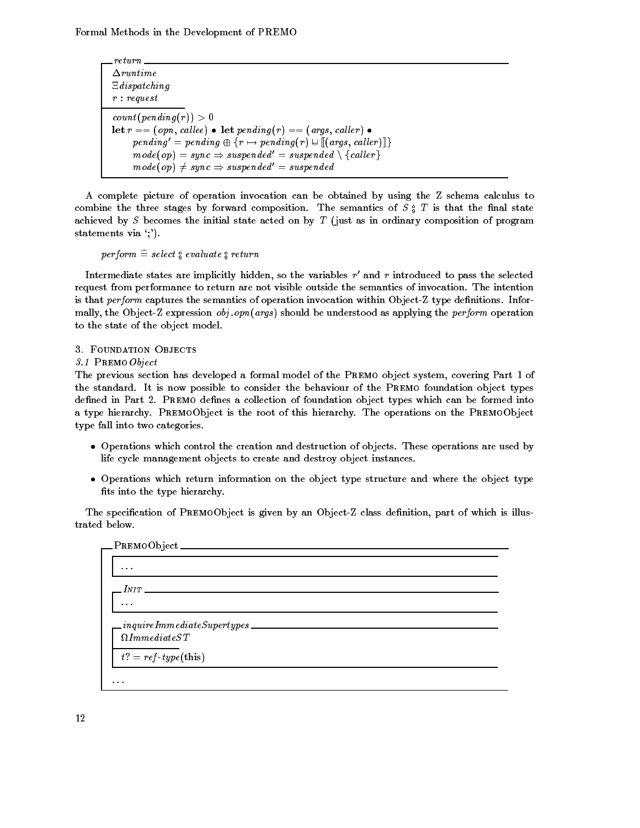return  $\Delta$ runtime  $\Xi$  dispatching  $r : request$  $count(pending(r)) > 0$ **let**  $r ==$  (opn, callee) • let penaing(r) == (args, caller) •  $pending' = pending \oplus \{r \mapsto pending(r) \cup \llbracket(\textit{args}, \textit{caller}) \rrbracket\}$  $mode(op) = sync \Rightarrow suspended' = suspended \setminus \{cal}$  $\mathit{mode}(\mathit{op}) \neq \mathit{sync} \Rightarrow \mathit{suspended'} = \mathit{suspended}$ 

A complete picture of operation invocation can be obtained by using the Z schema calculus to combine the three stages by forward composition. The semantics of  $S_{\frac{1}{2}}$  is that the nual state achieved by  $S$  becomes the initial state acted on by  $T$  (just as in ordinary composition of program statements via ';').

 $perform = se$ iect $\frac{1}{9}$  evaluate  $\frac{1}{9}$  return

Intermediate states are implicitly nidden, so the variables  $r$  and  $r$  introduced to pass the selected request from performance to return are not visible outside the semantics of invocation The intention is that perform captures the semantics of operation invocation within Object-Z type definitions. Informally, the Object-Z expression  $obj.open(args)$  should be understood as applying the *perform* operation to the state of the object model

. <u>- - - - - - - . .</u> . . .

The previous section has developed a formal model of the PREMO object system, covering Part 1 of the standard. It is now possible to consider the behaviour of the PREMO foundation object types defined in Part 2. PREMO defines a collection of foundation object types which can be formed into a type hierarchy. PREMOObject is the root of this hierarchy. The operations on the PREMOObject type fall into two categories

- $\bullet$  -Uperations which control the creation and destruction of objects. These operations are used by life cycle management objects to create and destroy object instances
- $\bullet$  Operations which return information on the object type structure and where the object type  $\hspace{0.1mm}$ fits into the type hierarchy.

The specification of PREMOObject is given by an Object-Z class definition, part of which is illustrated below

|                         | _PREMOObject ___                                                    |
|-------------------------|---------------------------------------------------------------------|
| $\cdot$ $\cdot$ $\cdot$ |                                                                     |
|                         | $\sqrt{N}$                                                          |
| $\cdots$                |                                                                     |
|                         | $. in \, quite Immediate Supertypes$<br>$\Omega$ <i>ImmediateST</i> |
|                         | $t? = ref-type(this)$                                               |
| .                       |                                                                     |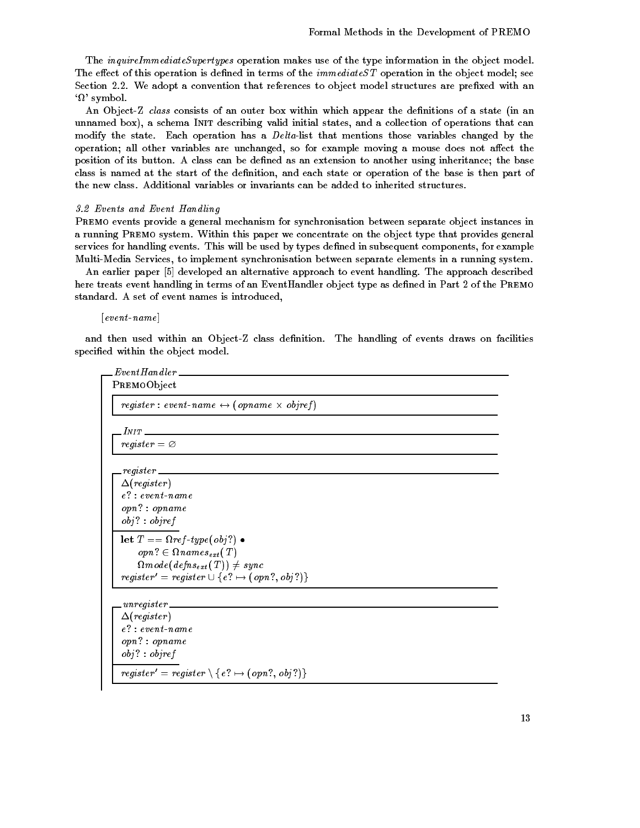The *inquireImmediateSupertypes* operation makes use of the type information in the object model. The effect of this operation is defined in terms of the  $immediateST$  operation in the object model; see Section 2.2. We adopt a convention that references to object model structures are prefixed with an  $\Omega$  symbol.

An Object-Z class consists of an outer box within which appear the definitions of a state (in an unnamed box), a schema INIT describing valid initial states, and a collection of operations that can modify the state. Each operation has a  $Delta$ -list that mentions those variables changed by the operation; all other variables are unchanged, so for example moving a mouse does not affect the position of its button. A class can be defined as an extension to another using inheritance; the base class is named at the start of the definition, and each state or operation of the base is then part of the new class Additional variables or invariants can be added to inherited structures

### - Events and Event Hand ling

Premo events provide a general mechanism for synchronisation between separate object instances in a running PREMO system. Within this paper we concentrate on the object type that provides general services for handling events. This will be used by types defined in subsequent components, for example Multi-Media Services, to implement synchronisation between separate elements in a running system.

An earlier paper [5] developed an alternative approach to event handling. The approach described here treats event handling in terms of an EventHandler object type as defined in Part 2 of the PREMO standard. A set of event names is introduced,

 $[event_name]$ 

and then used within an Object-Z class definition. The handling of events draws on facilities specified within the object model.

```
Even tH andlerPremoObject
  register : event-name \leftrightarrow (opname \times objref)
  _{INIT} \_register = \varnothingregister
  \Delta(register)
  e? : event-name
  \textit{opn?}: \textit{opname}obj : objectlet T = \Omega \text{ ref-type}(\text{obj?}).
       \textit{opn?} \in \Omega \textit{names}_{ext}(T)\Omegamode(\mathit{defines}_{\mathit{ext}}(\mathit{T})) \neq \mathit{sync}register' = register \cup \ \{e?\mapsto (opn?, \, obj?)\}_\Delta(register)
  e? : event-name
  \textit{opn? : opname}obj : objectregister' = register \setminus \{\, e\, ? \mapsto (opn?, \, obj?) \}
```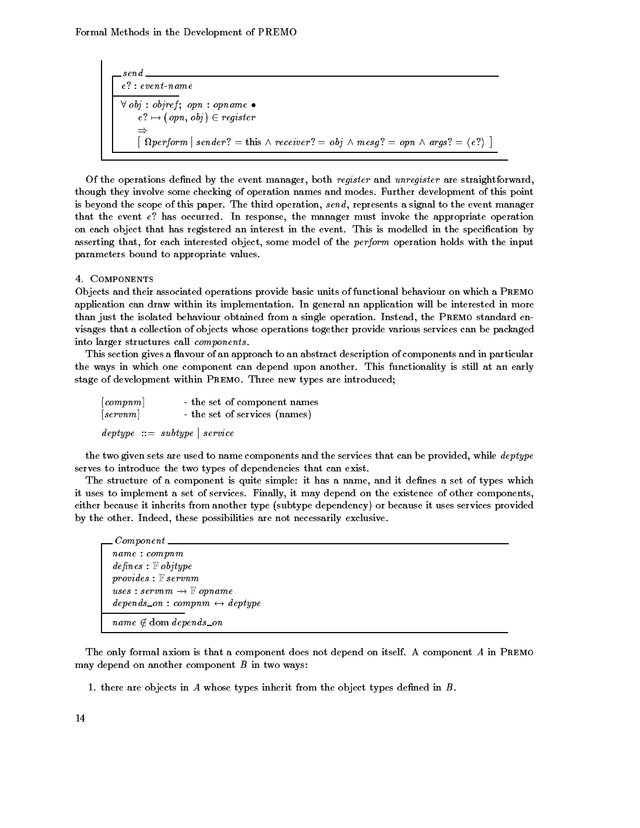send  $\forall$  obj : objref : opn : opname  $\bullet$  $e \colon \longmapsto (opn, obj) \in register$  $\Rightarrow$  $\lceil \Omega \text{perform} \rceil = \text{const} \wedge \text{receiver?} = \text{obj} \wedge \text{mesg?} = \text{opn} \wedge \text{args?} = \langle e \rangle \rceil$ 

Of the operations defined by the event manager, both register and unregister are straightforward, though they involve some checking of operation names and modes. Further development of this point is beyond the scope of this paper. The third operation, send, represents a signal to the event manager that the event  $e$ ? has occurred. In response, the manager must invoke the appropriate operation on each object that has registered an interest in the event. This is modelled in the specification by asserting that, for each interested object, some model of the *perform* operation holds with the input parameters bound to appropriate values

Objects and their associated operations provide basic units of functional behaviour on which a Premo application can draw within its implementation. In general an application will be interested in more than just the isolated behaviour obtained from a single operation. Instead, the PREMO standard envisages that a collection of objects whose operations together provide various services can be packaged into larger structures call *components*.<br>This section gives a flavour of an approach to an abstract description of components and in particular

the ways in which one component can depend upon another. This functionality is still at an early stage of development within PREMO. Three new types are introduced;

| [comm]                       | - the set of component names                                                   |  |
|------------------------------|--------------------------------------------------------------------------------|--|
| $\lceil s\,erv\,n\,m \rceil$ | - the set of services (names)                                                  |  |
|                              | $\text{ \textit{deptype} } ::= \text{ \textit{subtype} } \mid \text{ service}$ |  |

the two given sets are used to name components and the services that can be provided, while *deptype* serves to introduce the two types of dependencies that can exist.

The structure of a component is quite simple: it has a name, and it defines a set of types which it uses to implement a set of services. Finally, it may depend on the existence of other components, either because it inherits from another type (subtype dependency) or because it uses services provided by the other. Indeed, these possibilities are not necessarily exclusive.

| $\_\_$                                          |  |
|-------------------------------------------------|--|
| name: company                                   |  |
| $defines: \mathbb{F}$ objtype                   |  |
| $provides : \mathbb{F}$ servnm                  |  |
| $uses: serum \rightarrow \mathbb{F} opname$     |  |
| $depends\_on: companym \leftrightarrow deptype$ |  |
| $name \notin \text{dom depends\_on}$            |  |
|                                                 |  |

The only formal axiom is that a component does not depend on itself. A component A in PREMO may depend on another component  $B$  in two ways:

1. there are objects in  $A$  whose types inherit from the object types defined in  $B$ .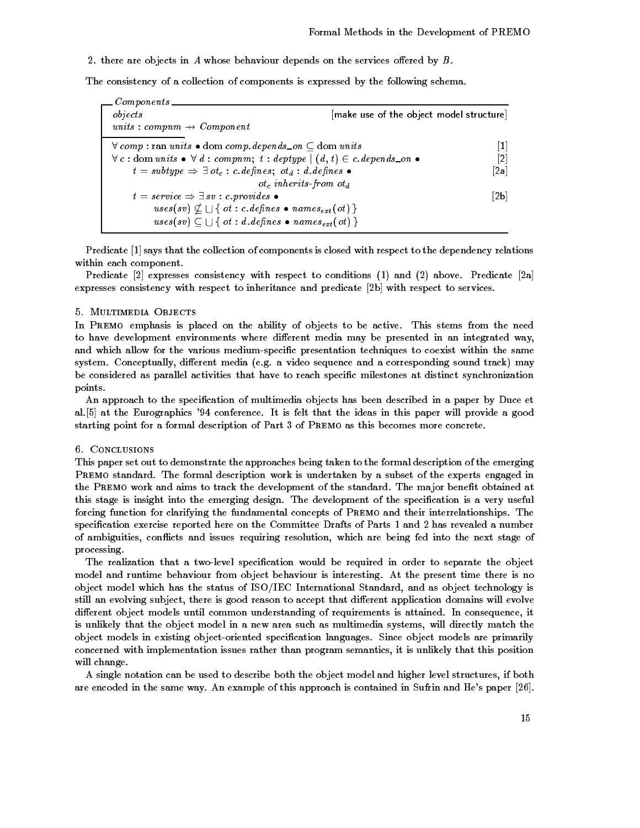2. there are objects in A whose behaviour depends on the services offered by  $B$ .

The consistency of a collection of components is expressed by the following schema

| Components<br>objects                                                                                                   | [make use of the object model structure] |
|-------------------------------------------------------------------------------------------------------------------------|------------------------------------------|
| units : compnm $\rightarrow$ Component                                                                                  |                                          |
| $\forall$ comp: ran units $\bullet$ dom comp. depends _on $\subset$ dom units                                           | $\vert 1 \vert$                          |
| $\forall c : dom \text{ units} \bullet \forall d : company, t : deptype \mid (d, t) \in c \text{. depends\_on} \bullet$ | $[2]$                                    |
| $t = subtype \Rightarrow \exists ot_c : c.defines; ot_d : d.defines \bullet$                                            | $\lceil 2a \rceil$                       |
| $ot_c$ inherits-from $ot_d$                                                                                             |                                          |
| $t = service \Rightarrow \exists sv : c.\text{provides}$                                                                | 2 <sub>b</sub>                           |
| uses $(sv) \nsubseteq \bigcup \{ \text{ of } : \text{ } c.\text{ defines } \bullet \text{ names}_{ext}(\text{ }ot) \}$  |                                          |
| $uses(sv) \subseteq \bigcup \{ ot : d \ldotp defines \bullet names_{ext}(ot) \}$                                        |                                          |

Predicate  $\left[1\right]$  says that the collection of components is closed with respect to the dependency relations within each component

Predicate  $[2]$  expresses consistency with respect to conditions  $(1)$  and  $(2)$  above. Predicate  $[2a]$ expresses consistency with respect to inheritance and predicate [2b] with respect to services.

In PREMO emphasis is placed on the ability of objects to be active. This stems from the need to have development environments where different media may be presented in an integrated way, and which allow for the various medium-specific presentation techniques to coexist within the same system. Conceptually, different media (e.g. a video sequence and a corresponding sound track) may be considered as parallel activities that have to reach specific milestones at distinct synchronization points

An approach to the specification of multimedia objects has been described in a paper by Duce et al. [5] at the Eurographics '94 conference. It is felt that the ideas in this paper will provide a good starting point for a formal description of Part of Premo as this becomes more concrete

This paper set out to demonstrate the approaches being taken to the formal description of the emerging PREMO standard. The formal description work is undertaken by a subset of the experts engaged in the PREMO work and aims to track the development of the standard. The major benefit obtained at this stage is insight into the emerging design. The development of the specification is a very useful forcing function for clarifying the fundamental concepts of PREMO and their interrelationships. The specification exercise reported here on the Committee Drafts of Parts 1 and 2 has revealed a number of ambiguities, conflicts and issues requiring resolution, which are being fed into the next stage of processing

The realization that a two-level specification would be required in order to separate the object model and runtime behaviour from object behaviour is interesting. At the present time there is no object model which has the status of ISO-IEC International Standard and as object technology is still an evolving subject, there is good reason to accept that different application domains will evolve different object models until common understanding of requirements is attained. In consequence, it is unlikely that the object model in a new area such as multimedia systems, will directly match the object models in existing object-oriented specification languages. Since object models are primarily concerned with implementation issues rather than program semantics it is unlikely that this position will change.

A single notation can be used to describe both the object model and higher level structures if both are encoded in the same way. An example of this approach is contained in Sufrin and He's paper  $[26]$ .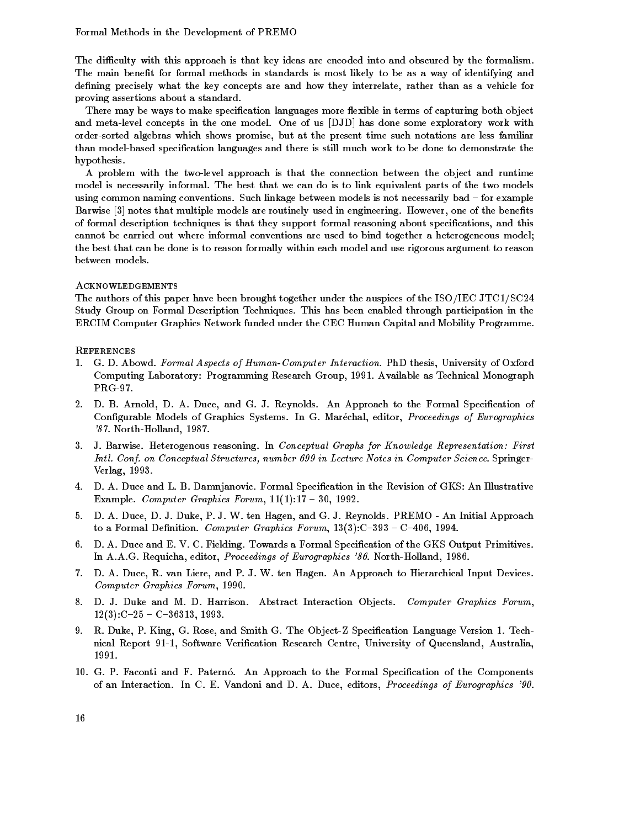The difficulty with this approach is that key ideas are encoded into and obscured by the formalism. The main benefit for formal methods in standards is most likely to be as a way of identifying and defining precisely what the key concepts are and how they interrelate, rather than as a vehicle for proving assertions about a standard

There may be ways to make specification languages more flexible in terms of capturing both object and meta-level concepts in the one model. One of us [DJD] has done some exploratory work with order-sorted algebras which shows promise, but at the present time such notations are less familiar than model-based specification languages and there is still much work to be done to demonstrate the hypothesis

A problem with the twolevel approach is that the connection between the object and runtime model is necessarily informal. The best that we can do is to link equivalent parts of the two models using common naming conventions. Such linkage between models is not necessarily bad - for example Barwise notes that multiple models are routinely used in engineering However one of the benets of formal description techniques is that they support formal reasoning about specifications, and this cannot be carried out where informal conventions are used to bind together a heterogeneous model the best that can be done is to reason formally within each model and use rigorous argument to reason between models

# Acknowledgements

The authors of the paper have been been brought together under the auspices of the ISO-ISO-ISO-ISO-ISO-ISO-ISO-Study Group on Formal Description Techniques. This has been enabled through participation in the ERCIM Computer Graphics Network funded under the CEC Human Capital and Mobility Programme

# **REFERENCES**

- 1. G. D. Abowd. Formal Aspects of Human-Computer Interaction. PhD thesis, University of Oxford Computing Laboratory: Programming Research Group, 1991. Available as Technical Monograph  $PRG-97.$
- 2. D. B. Arnold, D. A. Duce, and G. J. Reynolds. An Approach to the Formal Specification of Configurable Models of Graphics Systems. In G. Maréchal, editor, *Proceedings of Eurographics*  $87.$  North-Holland, 1987.
- J Barwise Heterogenous reasoning In Conceptual Graphs for Know ledge Representation First Intl- Conf- on Conceptual Structures number 

 in Lecture Notes in Computer Science Springer version and the contract of the contract of the contract of the contract of the contract of the contract of the
- 4. D. A. Duce and L. B. Damnjanovic. Formal Specification in the Revision of GKS: An Illustrative Example Computer Graphics Forum
- 5. D. A. Duce, D. J. Duke, P. J. W. ten Hagen, and G. J. Reynolds. PREMO An Initial Approach  $\ldots$  a formal density  $\ldots$  ,  $\ldots$  ,  $\ldots$  ,  $\ldots$  ,  $\ldots$  ,  $\ldots$  ,  $\ldots$  ,  $\ldots$  ,  $\ldots$  ,  $\ldots$
- 6. D. A. Duce and E. V. C. Fielding. Towards a Formal Specification of the GKS Output Primitives. In A.A.G. Requicha, editor, Proceedings of Eurographics '86. North-Holland, 1986.
- 7. D. A. Duce, R. van Liere, and P. J. W. ten Hagen. An Approach to Hierarchical Input Devices. Computer Graphics Forum
- 8. D. J. Duke and M. D. Harrison. Abstract Interaction Objects. Computer Graphics Forum,  C C
- 9. R. Duke, P. King, G. Rose, and Smith G. The Object-Z Specification Language Version 1. Technical Report 91-1, Software Verification Research Centre, University of Queensland, Australia, 1991.
- 10. G. P. Faconti and F. Paternó. An Approach to the Formal Specification of the Components of an Interaction. In C. E. Vandoni and D. A. Duce, editors, Proceedings of Eurographics '90.